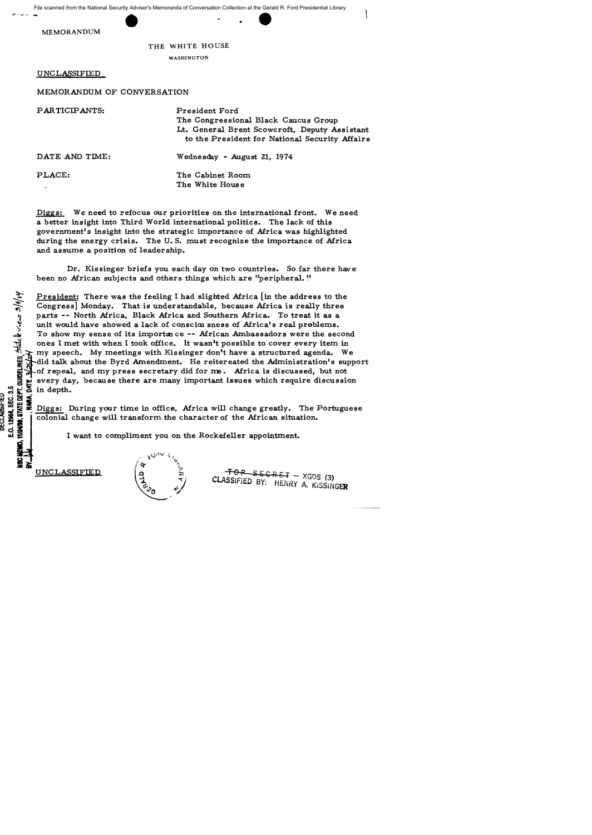File scanned from the National Security Adviser's Memoranda of Conversation Collection at the Gerald R. Ford Presidential Library ..... ---- - •

MEMORANDUM

## THE WHITE HOUSE

WASHINGTON

UNCLASSIFIED

MEMORANDUM OF CONVERSATION

| PARTICIPANTS:  | President Ford<br>The Congressional Black Caucus Group<br>Lt. General Brent Scowcroft, Deputy Assistant<br>to the President for National Security Affairs |
|----------------|-----------------------------------------------------------------------------------------------------------------------------------------------------------|
| DATE AND TIME: | Wednesday - August 21, 1974                                                                                                                               |
| PLACE:         | The Cabinet Room<br>The White House                                                                                                                       |

Diggs: We need to refocus our priorities on the international front. We need a better insight into Third World international politics. The lack of this government's insight into the strategic importance of Africa was highlighted during the energy crisis. The U. S. must recognize the importance of Africa and assume a position of leadership.

Dr. Kissinger briefs you each day on two countries. So far there have been no African subjects and others things which are ''peripheral. !'

President: There was the feeling I had slighted Africa [in the address to the Congress] Monday. That is understandable, because Africa is really three parts -- North Africa, Black Africa and Southern Africa. To treat it as a unit would have showed a lack of conscious ness of Africa's real problems. To show my sense of its importance -- African Ambassadors were the second ones I met with when I took office. It wasn't possible to cover every item in my speech. My meetings with Kissinger don't have a structured agenda. We did talk about the Byrd Amendment. He reitereated the Administration's support<br>A of repeal, and my press secretary did for me. Africa is discussed, but not of repeal, and my press secretary did for me. Africa is discussed, but not a every day, because there are many important issues which require discussion<br>
in depth.<br>
S Disson During pour time in office Africa will shange greatly. The Portugues !} !!!<br>SEC.3<br>**MA**,

 $\begin{bmatrix}\n 1 & 0 & \cdots & 0 \\
 0 & 0 & 0 & \cdots & 0 \\
 0 & 0 & 0 & \cdots & 0 \\
 0 & 0 & 0 & \cdots & 0 \\
 0 & 0 & 0 & \cdots & 0\n \end{bmatrix}$ Diggs: During your time in office, Africa will change greatly. The Portuguese colonial change will transform the character of the African situation.

I want to compliment you on the Rockefeller appointment.

 $\overline{\mathbf{e}}$   $\overline{\mathbf{e}}$   $\overline{\mathbf{g}}$   $\overline{\mathbf{e}}$ 

**Jia;** 

UNCLASSIFIED  $\begin{pmatrix} 0 & \frac{2}{3} & \frac{1}{3} & \frac{1}{3} & \frac{1}{3} \\ \frac{1}{3} & \frac{1}{3} & \frac{1}{3} & \frac{1}{3} \\ \frac{1}{3} & \frac{1}{3} & \frac{1}{3} & \frac{1}{3} \end{pmatrix}$  CLASSIFIED BY: HENRY A. KISSINGER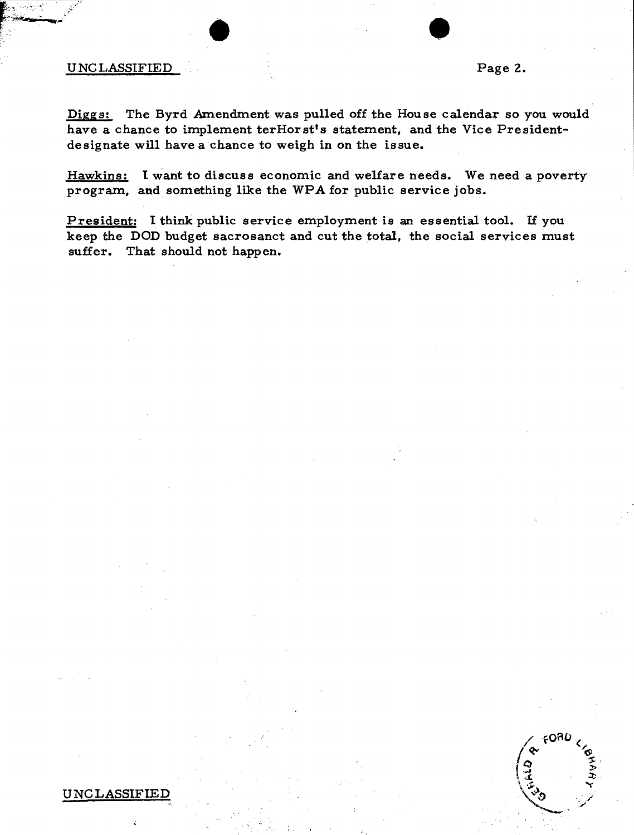## UNCLASSIFIED Page 2.

 $\bullet$   $\bullet$   $\bullet$ 

FORD

Diggs: The Byrd Amendment was pulled off the House calendar so you would have a chance to implement terHorst's statement, and the Vice Presidentdesignate will have a chance to weigh in on the issue.

Hawkins: I want to discuss economic and welfare needs. We need a poverty program, and something like the WPA for public service jobs.

President: I think public service employment is an essential tool. If you keep the DOD budget sacrosanct and cut the total, the social services must suffer. That should not happen.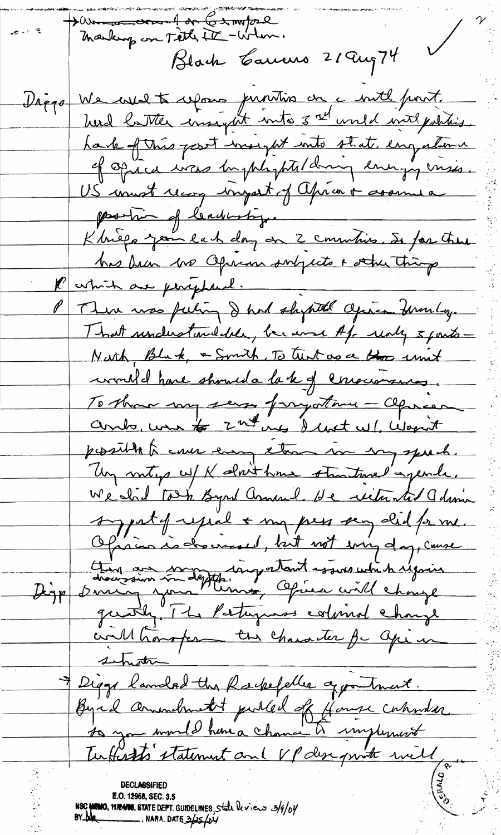Dann comment on Campore  $\sqrt{2}$ Black Carrers 21 Aug 74 Diggs We west ufons puntion on a with part. herd latter insight into 3 rd uned with polities. have of this past was ght into state engalmen of opice was bythe ptilding energy miss. US must recog impart of aprior + assumed position of leading. Khieps join la h day on 2 commiss, Se for these has been une Opienn singeste & other thing P astrict are periphered. There was feeling I had shywith agree Frankly. That understanddele, became Af unly 5 parts -Nurh, Bluk, a Smith, To tunt as a those unit correlle have should a la k of conservances. To those my series frayatance - aprison ando, we to 2nd in denot w/, wapn't possible to cover easing them me my speech. Un miting w/ K almit home straitmed'agende. We slid to h Byrd annual He retunted admin syntymie + my peu aug did princ. Ofician indererand, but not evingday, cause Dign drouzoirs indeptingentant essus with regain will hansfer - the character for aprim shotte Diggs landed the Redeefeller apportment. Byrd animetrit publed of four cations E.O. 12968, SEC. 3.5 NSC MEMO, MR4908, STATE DEPT. GUIDELINES, State leviers 3/9/04